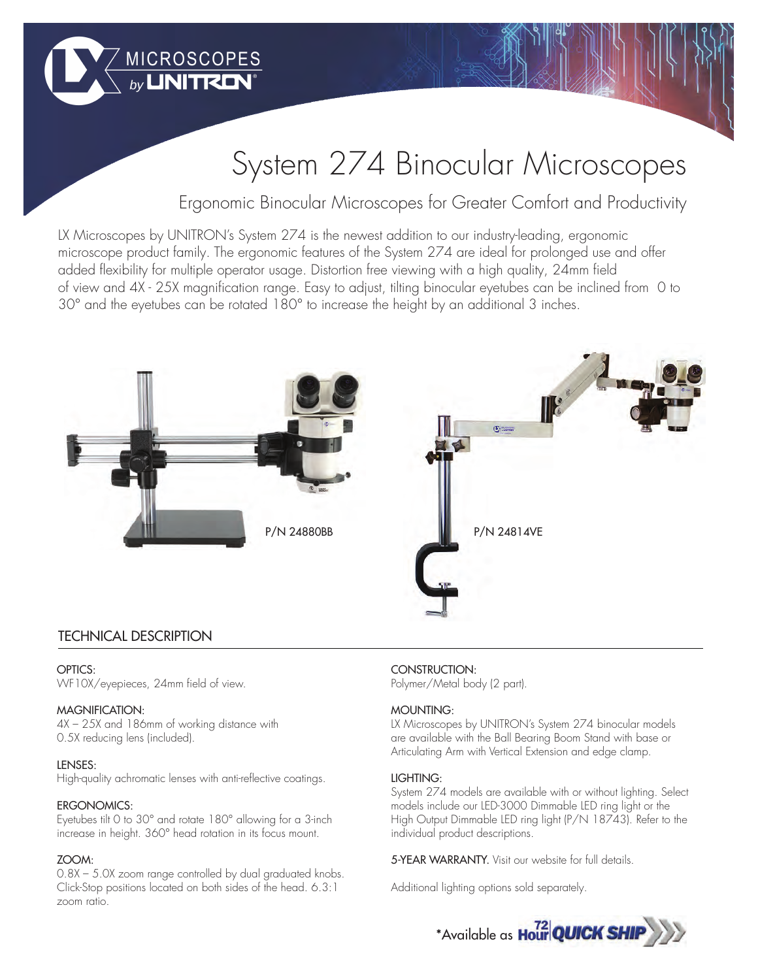

# System 274 Binocular Microscopes

Ergonomic Binocular Microscopes for Greater Comfort and Productivity

LX Microscopes by UNITRON's System 274 is the newest addition to our industry-leading, ergonomic microscope product family. The ergonomic features of the System 274 are ideal for prolonged use and offer added flexibility for multiple operator usage. Distortion free viewing with a high quality, 24mm field of view and 4X - 25X magnification range. Easy to adjust, tilting binocular eyetubes can be inclined from 0 to 30° and the eyetubes can be rotated 180° to increase the height by an additional 3 inches.



## TECHNICAL DESCRIPTION

## OPTICS:

WF10X/eyepieces, 24mm field of view.

## MAGNIFICATION:

4X – 25X and 186mm of working distance with 0.5X reducing lens (included).

#### LENSES:

High-quality achromatic lenses with anti-reflective coatings.

## ERGONOMICS:

Eyetubes tilt 0 to 30° and rotate 180° allowing for a 3-inch increase in height. 360° head rotation in its focus mount.

## ZOOM:

0.8X – 5.0X zoom range controlled by dual graduated knobs. Click-Stop positions located on both sides of the head. 6.3:1 zoom ratio.

## CONSTRUCTION:

Polymer/Metal body (2 part).

## MOUNTING:

LX Microscopes by UNITRON's System 274 binocular models are available with the Ball Bearing Boom Stand with base or Articulating Arm with Vertical Extension and edge clamp.

#### LIGHTING:

System 274 models are available with or without lighting. Select models include our LED-3000 Dimmable LED ring light or the High Output Dimmable LED ring light (P/N 18743). Refer to the individual product descriptions.

5-YEAR WARRANTY. Visit our website for full details.

Additional lighting options sold separately.